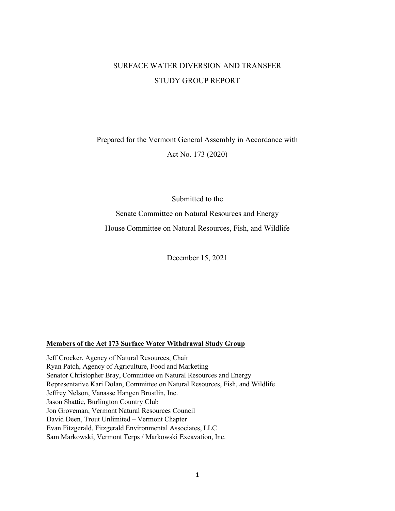## SURFACE WATER DIVERSION AND TRANSFER STUDY GROUP REPORT

# Prepared for the Vermont General Assembly in Accordance with Act No. 173 (2020)

Submitted to the

Senate Committee on Natural Resources and Energy House Committee on Natural Resources, Fish, and Wildlife

December 15, 2021

#### **Members of the Act 173 Surface Water Withdrawal Study Group**

Jeff Crocker, Agency of Natural Resources, Chair Ryan Patch, Agency of Agriculture, Food and Marketing Senator Christopher Bray, Committee on Natural Resources and Energy Representative Kari Dolan, Committee on Natural Resources, Fish, and Wildlife Jeffrey Nelson, Vanasse Hangen Brustlin, Inc. Jason Shattie, Burlington Country Club Jon Groveman, Vermont Natural Resources Council David Deen, Trout Unlimited – Vermont Chapter Evan Fitzgerald, Fitzgerald Environmental Associates, LLC Sam Markowski, Vermont Terps / Markowski Excavation, Inc.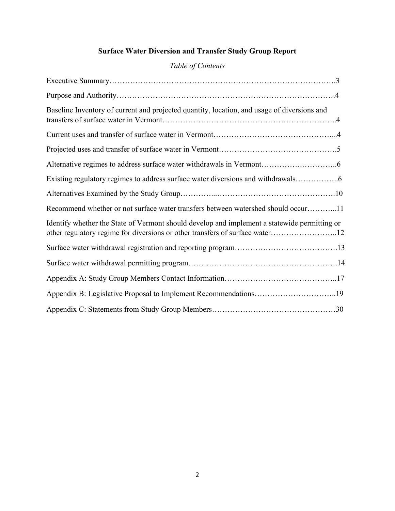# **Surface Water Diversion and Transfer Study Group Report**

# *Table of Contents*

| Baseline Inventory of current and projected quantity, location, and usage of diversions and                                                                                  |
|------------------------------------------------------------------------------------------------------------------------------------------------------------------------------|
|                                                                                                                                                                              |
|                                                                                                                                                                              |
|                                                                                                                                                                              |
| Existing regulatory regimes to address surface water diversions and withdrawals                                                                                              |
|                                                                                                                                                                              |
| Recommend whether or not surface water transfers between watershed should occur11                                                                                            |
| Identify whether the State of Vermont should develop and implement a statewide permitting or<br>other regulatory regime for diversions or other transfers of surface water12 |
|                                                                                                                                                                              |
|                                                                                                                                                                              |
|                                                                                                                                                                              |
|                                                                                                                                                                              |
|                                                                                                                                                                              |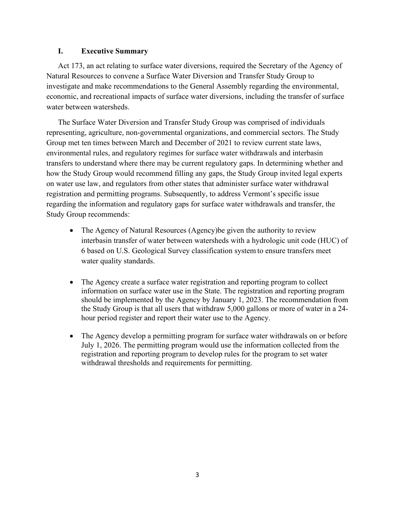### **I. Executive Summary**

Act 173, an act relating to surface water diversions, required the Secretary of the Agency of Natural Resources to convene a Surface Water Diversion and Transfer Study Group to investigate and make recommendations to the General Assembly regarding the environmental, economic, and recreational impacts of surface water diversions, including the transfer of surface water between watersheds.

The Surface Water Diversion and Transfer Study Group was comprised of individuals representing, agriculture, non-governmental organizations, and commercial sectors. The Study Group met ten times between March and December of 2021 to review current state laws, environmental rules, and regulatory regimes for surface water withdrawals and interbasin transfers to understand where there may be current regulatory gaps. In determining whether and how the Study Group would recommend filling any gaps, the Study Group invited legal experts on water use law, and regulators from other states that administer surface water withdrawal registration and permitting programs. Subsequently, to address Vermont's specific issue regarding the information and regulatory gaps for surface water withdrawals and transfer, the Study Group recommends:

- The Agency of Natural Resources (Agency) be given the authority to review interbasin transfer of water between watersheds with a hydrologic unit code (HUC) of 6 based on U.S. Geological Survey classification system to ensure transfers meet water quality standards.
- The Agency create a surface water registration and reporting program to collect information on surface water use in the State. The registration and reporting program should be implemented by the Agency by January 1, 2023. The recommendation from the Study Group is that all users that withdraw 5,000 gallons or more of water in a 24 hour period register and report their water use to the Agency.
- The Agency develop a permitting program for surface water withdrawals on or before July 1, 2026. The permitting program would use the information collected from the registration and reporting program to develop rules for the program to set water withdrawal thresholds and requirements for permitting.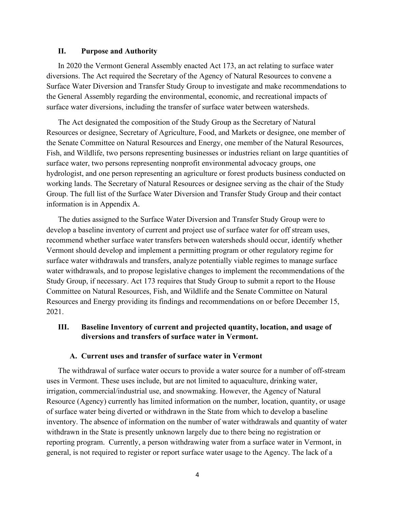#### **II. Purpose and Authority**

In 2020 the Vermont General Assembly enacted Act 173, an act relating to surface water diversions. The Act required the Secretary of the Agency of Natural Resources to convene a Surface Water Diversion and Transfer Study Group to investigate and make recommendations to the General Assembly regarding the environmental, economic, and recreational impacts of surface water diversions, including the transfer of surface water between watersheds.

The Act designated the composition of the Study Group as the Secretary of Natural Resources or designee, Secretary of Agriculture, Food, and Markets or designee, one member of the Senate Committee on Natural Resources and Energy, one member of the Natural Resources, Fish, and Wildlife, two persons representing businesses or industries reliant on large quantities of surface water, two persons representing nonprofit environmental advocacy groups, one hydrologist, and one person representing an agriculture or forest products business conducted on working lands. The Secretary of Natural Resources or designee serving as the chair of the Study Group. The full list of the Surface Water Diversion and Transfer Study Group and their contact information is in Appendix A.

The duties assigned to the Surface Water Diversion and Transfer Study Group were to develop a baseline inventory of current and project use of surface water for off stream uses, recommend whether surface water transfers between watersheds should occur, identify whether Vermont should develop and implement a permitting program or other regulatory regime for surface water withdrawals and transfers, analyze potentially viable regimes to manage surface water withdrawals, and to propose legislative changes to implement the recommendations of the Study Group, if necessary. Act 173 requires that Study Group to submit a report to the House Committee on Natural Resources, Fish, and Wildlife and the Senate Committee on Natural Resources and Energy providing its findings and recommendations on or before December 15, 2021.

### **III. Baseline Inventory of current and projected quantity, location, and usage of diversions and transfers of surface water in Vermont.**

#### **A. Current uses and transfer of surface water in Vermont**

The withdrawal of surface water occurs to provide a water source for a number of off-stream uses in Vermont. These uses include, but are not limited to aquaculture, drinking water, irrigation, commercial/industrial use, and snowmaking. However, the Agency of Natural Resource (Agency) currently has limited information on the number, location, quantity, or usage of surface water being diverted or withdrawn in the State from which to develop a baseline inventory. The absence of information on the number of water withdrawals and quantity of water withdrawn in the State is presently unknown largely due to there being no registration or reporting program. Currently, a person withdrawing water from a surface water in Vermont, in general, is not required to register or report surface water usage to the Agency. The lack of a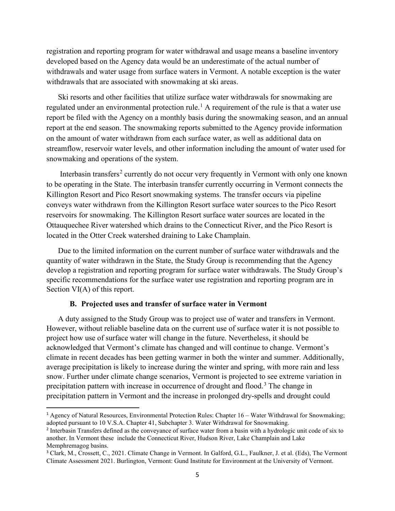registration and reporting program for water withdrawal and usage means a baseline inventory developed based on the Agency data would be an underestimate of the actual number of withdrawals and water usage from surface waters in Vermont. A notable exception is the water withdrawals that are associated with snowmaking at ski areas.

Ski resorts and other facilities that utilize surface water withdrawals for snowmaking are regulated under an environmental protection rule.<sup>[1](#page-4-0)</sup> A requirement of the rule is that a water use report be filed with the Agency on a monthly basis during the snowmaking season, and an annual report at the end season. The snowmaking reports submitted to the Agency provide information on the amount of water withdrawn from each surface water, as well as additional data on streamflow, reservoir water levels, and other information including the amount of water used for snowmaking and operations of the system.

Interbasin transfers<sup>[2](#page-4-1)</sup> currently do not occur very frequently in Vermont with only one known to be operating in the State. The interbasin transfer currently occurring in Vermont connects the Killington Resort and Pico Resort snowmaking systems. The transfer occurs via pipeline conveys water withdrawn from the Killington Resort surface water sources to the Pico Resort reservoirs for snowmaking. The Killington Resort surface water sources are located in the Ottauquechee River watershed which drains to the Connecticut River, and the Pico Resort is located in the Otter Creek watershed draining to Lake Champlain.

Due to the limited information on the current number of surface water withdrawals and the quantity of water withdrawn in the State, the Study Group is recommending that the Agency develop a registration and reporting program for surface water withdrawals. The Study Group's specific recommendations for the surface water use registration and reporting program are in Section VI(A) of this report.

#### **B. Projected uses and transfer of surface water in Vermont**

A duty assigned to the Study Group was to project use of water and transfers in Vermont. However, without reliable baseline data on the current use of surface water it is not possible to project how use of surface water will change in the future. Nevertheless, it should be acknowledged that Vermont's climate has changed and will continue to change. Vermont's climate in recent decades has been getting warmer in both the winter and summer. Additionally, average precipitation is likely to increase during the winter and spring, with more rain and less snow. Further under climate change scenarios, Vermont is projected to see extreme variation in precipitation pattern with increase in occurrence of drought and flood.<sup>[3](#page-4-2)</sup> The change in precipitation pattern in Vermont and the increase in prolonged dry-spells and drought could

<span id="page-4-0"></span><sup>1</sup> Agency of Natural Resources, Environmental Protection Rules: Chapter 16 – Water Withdrawal for Snowmaking; adopted pursuant to 10 V.S.A. Chapter 41, Subchapter 3. Water Withdrawal for Snowmaking.

<span id="page-4-1"></span><sup>2</sup> Interbasin Transfers defined as the conveyance of surface water from a basin with a hydrologic unit code of six to another. In Vermont these include the Connecticut River, Hudson River, Lake Champlain and Lake Memphremagog basins.

<span id="page-4-2"></span><sup>3</sup> Clark, M., Crossett, C., 2021. Climate Change in Vermont. In Galford, G.L., Faulkner, J. et al. (Eds), The Vermont Climate Assessment 2021. Burlington, Vermont: Gund Institute for Environment at the University of Vermont.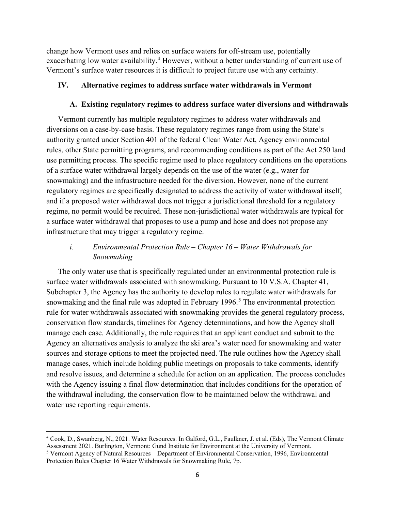change how Vermont uses and relies on surface waters for off-stream use, potentially exacerbating low water availability.<sup>[4](#page-5-0)</sup> However, without a better understanding of current use of Vermont's surface water resources it is difficult to project future use with any certainty.

### **IV. Alternative regimes to address surface water withdrawals in Vermont**

### **A. Existing regulatory regimes to address surface water diversions and withdrawals**

Vermont currently has multiple regulatory regimes to address water withdrawals and diversions on a case-by-case basis. These regulatory regimes range from using the State's authority granted under Section 401 of the federal Clean Water Act, Agency environmental rules, other State permitting programs, and recommending conditions as part of the Act 250 land use permitting process. The specific regime used to place regulatory conditions on the operations of a surface water withdrawal largely depends on the use of the water (e.g., water for snowmaking) and the infrastructure needed for the diversion. However, none of the current regulatory regimes are specifically designated to address the activity of water withdrawal itself, and if a proposed water withdrawal does not trigger a jurisdictional threshold for a regulatory regime, no permit would be required. These non-jurisdictional water withdrawals are typical for a surface water withdrawal that proposes to use a pump and hose and does not propose any infrastructure that may trigger a regulatory regime.

### *i. Environmental Protection Rule – Chapter 16 – Water Withdrawals for Snowmaking*

The only water use that is specifically regulated under an environmental protection rule is surface water withdrawals associated with snowmaking. Pursuant to 10 V.S.A. Chapter 41, Subchapter 3, the Agency has the authority to develop rules to regulate water withdrawals for snowmaking and the final rule was adopted in February 1996.<sup>[5](#page-5-1)</sup> The environmental protection rule for water withdrawals associated with snowmaking provides the general regulatory process, conservation flow standards, timelines for Agency determinations, and how the Agency shall manage each case. Additionally, the rule requires that an applicant conduct and submit to the Agency an alternatives analysis to analyze the ski area's water need for snowmaking and water sources and storage options to meet the projected need. The rule outlines how the Agency shall manage cases, which include holding public meetings on proposals to take comments, identify and resolve issues, and determine a schedule for action on an application. The process concludes with the Agency issuing a final flow determination that includes conditions for the operation of the withdrawal including, the conservation flow to be maintained below the withdrawal and water use reporting requirements.

<span id="page-5-0"></span><sup>4</sup> Cook, D., Swanberg, N., 2021. Water Resources. In Galford, G.L., Faulkner, J. et al. (Eds), The Vermont Climate Assessment 2021. Burlington, Vermont: Gund Institute for Environment at the University of Vermont.

<span id="page-5-1"></span><sup>5</sup> Vermont Agency of Natural Resources – Department of Environmental Conservation, 1996, Environmental Protection Rules Chapter 16 Water Withdrawals for Snowmaking Rule, 7p.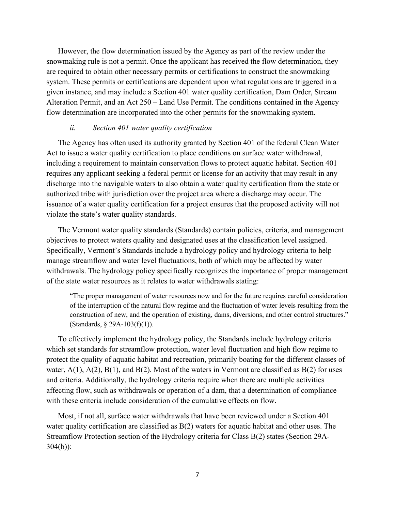However, the flow determination issued by the Agency as part of the review under the snowmaking rule is not a permit. Once the applicant has received the flow determination, they are required to obtain other necessary permits or certifications to construct the snowmaking system. These permits or certifications are dependent upon what regulations are triggered in a given instance, and may include a Section 401 water quality certification, Dam Order, Stream Alteration Permit, and an Act 250 – Land Use Permit. The conditions contained in the Agency flow determination are incorporated into the other permits for the snowmaking system.

#### *ii. Section 401 water quality certification*

The Agency has often used its authority granted by Section 401 of the federal Clean Water Act to issue a water quality certification to place conditions on surface water withdrawal, including a requirement to maintain conservation flows to protect aquatic habitat. Section 401 requires any applicant seeking a federal permit or license for an activity that may result in any discharge into the navigable waters to also obtain a water quality certification from the state or authorized tribe with jurisdiction over the project area where a discharge may occur. The issuance of a water quality certification for a project ensures that the proposed activity will not violate the state's water quality standards.

The Vermont water quality standards (Standards) contain policies, criteria, and management objectives to protect waters quality and designated uses at the classification level assigned. Specifically, Vermont's Standards include a hydrology policy and hydrology criteria to help manage streamflow and water level fluctuations, both of which may be affected by water withdrawals. The hydrology policy specifically recognizes the importance of proper management of the state water resources as it relates to water withdrawals stating:

"The proper management of water resources now and for the future requires careful consideration of the interruption of the natural flow regime and the fluctuation of water levels resulting from the construction of new, and the operation of existing, dams, diversions, and other control structures." (Standards, § 29A-103(f)(1)).

To effectively implement the hydrology policy, the Standards include hydrology criteria which set standards for streamflow protection, water level fluctuation and high flow regime to protect the quality of aquatic habitat and recreation, primarily boating for the different classes of water,  $A(1)$ ,  $A(2)$ ,  $B(1)$ , and  $B(2)$ . Most of the waters in Vermont are classified as  $B(2)$  for uses and criteria. Additionally, the hydrology criteria require when there are multiple activities affecting flow, such as withdrawals or operation of a dam, that a determination of compliance with these criteria include consideration of the cumulative effects on flow.

Most, if not all, surface water withdrawals that have been reviewed under a Section 401 water quality certification are classified as B(2) waters for aquatic habitat and other uses. The Streamflow Protection section of the Hydrology criteria for Class B(2) states (Section 29A-304(b)):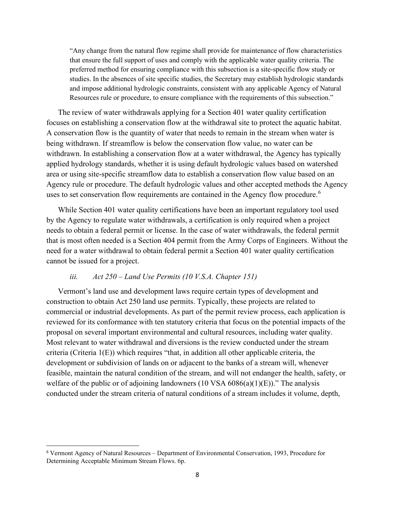"Any change from the natural flow regime shall provide for maintenance of flow characteristics that ensure the full support of uses and comply with the applicable water quality criteria. The preferred method for ensuring compliance with this subsection is a site-specific flow study or studies. In the absences of site specific studies, the Secretary may establish hydrologic standards and impose additional hydrologic constraints, consistent with any applicable Agency of Natural Resources rule or procedure, to ensure compliance with the requirements of this subsection."

The review of water withdrawals applying for a Section 401 water quality certification focuses on establishing a conservation flow at the withdrawal site to protect the aquatic habitat. A conservation flow is the quantity of water that needs to remain in the stream when water is being withdrawn. If streamflow is below the conservation flow value, no water can be withdrawn. In establishing a conservation flow at a water withdrawal, the Agency has typically applied hydrology standards, whether it is using default hydrologic values based on watershed area or using site-specific streamflow data to establish a conservation flow value based on an Agency rule or procedure. The default hydrologic values and other accepted methods the Agency uses to set conservation flow requirements are contained in the Agency flow procedure.<sup>[6](#page-7-0)</sup>

While Section 401 water quality certifications have been an important regulatory tool used by the Agency to regulate water withdrawals, a certification is only required when a project needs to obtain a federal permit or license. In the case of water withdrawals, the federal permit that is most often needed is a Section 404 permit from the Army Corps of Engineers. Without the need for a water withdrawal to obtain federal permit a Section 401 water quality certification cannot be issued for a project.

### *iii. Act 250 – Land Use Permits (10 V.S.A. Chapter 151)*

Vermont's land use and development laws require certain types of development and construction to obtain Act 250 land use permits. Typically, these projects are related to commercial or industrial developments. As part of the permit review process, each application is reviewed for its conformance with ten statutory criteria that focus on the potential impacts of the proposal on several important environmental and cultural resources, including water quality. Most relevant to water withdrawal and diversions is the review conducted under the stream criteria (Criteria 1(E)) which requires "that, in addition all other applicable criteria, the development or subdivision of lands on or adjacent to the banks of a stream will, whenever feasible, maintain the natural condition of the stream, and will not endanger the health, safety, or welfare of the public or of adjoining landowners  $(10 \text{ VSA } 6086(a)(1)(E))$ ." The analysis conducted under the stream criteria of natural conditions of a stream includes it volume, depth,

<span id="page-7-0"></span><sup>6</sup> Vermont Agency of Natural Resources – Department of Environmental Conservation, 1993, Procedure for Determining Acceptable Minimum Stream Flows. 6p.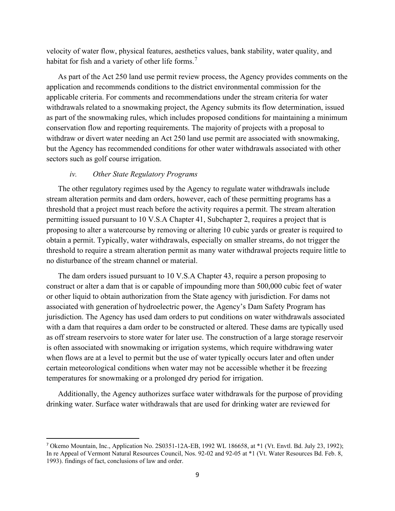velocity of water flow, physical features, aesthetics values, bank stability, water quality, and habitat for fish and a variety of other life forms.<sup>[7](#page-8-0)</sup>

As part of the Act 250 land use permit review process, the Agency provides comments on the application and recommends conditions to the district environmental commission for the applicable criteria. For comments and recommendations under the stream criteria for water withdrawals related to a snowmaking project, the Agency submits its flow determination, issued as part of the snowmaking rules, which includes proposed conditions for maintaining a minimum conservation flow and reporting requirements. The majority of projects with a proposal to withdraw or divert water needing an Act 250 land use permit are associated with snowmaking, but the Agency has recommended conditions for other water withdrawals associated with other sectors such as golf course irrigation.

#### *iv. Other State Regulatory Programs*

The other regulatory regimes used by the Agency to regulate water withdrawals include stream alteration permits and dam orders, however, each of these permitting programs has a threshold that a project must reach before the activity requires a permit. The stream alteration permitting issued pursuant to 10 V.S.A Chapter 41, Subchapter 2, requires a project that is proposing to alter a watercourse by removing or altering 10 cubic yards or greater is required to obtain a permit. Typically, water withdrawals, especially on smaller streams, do not trigger the threshold to require a stream alteration permit as many water withdrawal projects require little to no disturbance of the stream channel or material.

The dam orders issued pursuant to 10 V.S.A Chapter 43, require a person proposing to construct or alter a dam that is or capable of impounding more than 500,000 cubic feet of water or other liquid to obtain authorization from the State agency with jurisdiction. For dams not associated with generation of hydroelectric power, the Agency's Dam Safety Program has jurisdiction. The Agency has used dam orders to put conditions on water withdrawals associated with a dam that requires a dam order to be constructed or altered. These dams are typically used as off stream reservoirs to store water for later use. The construction of a large storage reservoir is often associated with snowmaking or irrigation systems, which require withdrawing water when flows are at a level to permit but the use of water typically occurs later and often under certain meteorological conditions when water may not be accessible whether it be freezing temperatures for snowmaking or a prolonged dry period for irrigation.

Additionally, the Agency authorizes surface water withdrawals for the purpose of providing drinking water. Surface water withdrawals that are used for drinking water are reviewed for

<span id="page-8-0"></span><sup>7</sup> Okemo Mountain, Inc., Application No. 2S0351-12A-EB, 1992 WL 186658, at \*1 (Vt. Envtl. Bd. July 23, 1992); In re Appeal of Vermont Natural Resources Council, Nos. 92-02 and 92-05 at \*1 (Vt. Water Resources Bd. Feb. 8, 1993). findings of fact, conclusions of law and order.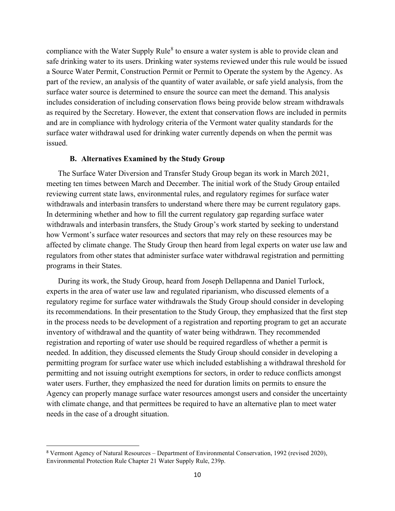compliance with the Water Supply Rule<sup>[8](#page-9-0)</sup> to ensure a water system is able to provide clean and safe drinking water to its users. Drinking water systems reviewed under this rule would be issued a Source Water Permit, Construction Permit or Permit to Operate the system by the Agency. As part of the review, an analysis of the quantity of water available, or safe yield analysis, from the surface water source is determined to ensure the source can meet the demand. This analysis includes consideration of including conservation flows being provide below stream withdrawals as required by the Secretary. However, the extent that conservation flows are included in permits and are in compliance with hydrology criteria of the Vermont water quality standards for the surface water withdrawal used for drinking water currently depends on when the permit was issued.

#### **B. Alternatives Examined by the Study Group**

The Surface Water Diversion and Transfer Study Group began its work in March 2021, meeting ten times between March and December. The initial work of the Study Group entailed reviewing current state laws, environmental rules, and regulatory regimes for surface water withdrawals and interbasin transfers to understand where there may be current regulatory gaps. In determining whether and how to fill the current regulatory gap regarding surface water withdrawals and interbasin transfers, the Study Group's work started by seeking to understand how Vermont's surface water resources and sectors that may rely on these resources may be affected by climate change. The Study Group then heard from legal experts on water use law and regulators from other states that administer surface water withdrawal registration and permitting programs in their States.

During its work, the Study Group, heard from Joseph Dellapenna and Daniel Turlock, experts in the area of water use law and regulated riparianism, who discussed elements of a regulatory regime for surface water withdrawals the Study Group should consider in developing its recommendations. In their presentation to the Study Group, they emphasized that the first step in the process needs to be development of a registration and reporting program to get an accurate inventory of withdrawal and the quantity of water being withdrawn. They recommended registration and reporting of water use should be required regardless of whether a permit is needed. In addition, they discussed elements the Study Group should consider in developing a permitting program for surface water use which included establishing a withdrawal threshold for permitting and not issuing outright exemptions for sectors, in order to reduce conflicts amongst water users. Further, they emphasized the need for duration limits on permits to ensure the Agency can properly manage surface water resources amongst users and consider the uncertainty with climate change, and that permittees be required to have an alternative plan to meet water needs in the case of a drought situation.

<span id="page-9-0"></span><sup>8</sup> Vermont Agency of Natural Resources – Department of Environmental Conservation, 1992 (revised 2020), Environmental Protection Rule Chapter 21 Water Supply Rule, 239p.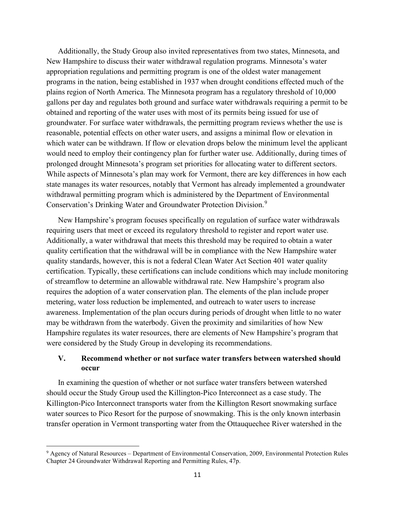Additionally, the Study Group also invited representatives from two states, Minnesota, and New Hampshire to discuss their water withdrawal regulation programs. Minnesota's water appropriation regulations and permitting program is one of the oldest water management programs in the nation, being established in 1937 when drought conditions effected much of the plains region of North America. The Minnesota program has a regulatory threshold of 10,000 gallons per day and regulates both ground and surface water withdrawals requiring a permit to be obtained and reporting of the water uses with most of its permits being issued for use of groundwater. For surface water withdrawals, the permitting program reviews whether the use is reasonable, potential effects on other water users, and assigns a minimal flow or elevation in which water can be withdrawn. If flow or elevation drops below the minimum level the applicant would need to employ their contingency plan for further water use. Additionally, during times of prolonged drought Minnesota's program set priorities for allocating water to different sectors. While aspects of Minnesota's plan may work for Vermont, there are key differences in how each state manages its water resources, notably that Vermont has already implemented a groundwater withdrawal permitting program which is administered by the Department of Environmental Conservation's Drinking Water and Groundwater Protection Division.[9](#page-10-0)

New Hampshire's program focuses specifically on regulation of surface water withdrawals requiring users that meet or exceed its regulatory threshold to register and report water use. Additionally, a water withdrawal that meets this threshold may be required to obtain a water quality certification that the withdrawal will be in compliance with the New Hampshire water quality standards, however, this is not a federal Clean Water Act Section 401 water quality certification. Typically, these certifications can include conditions which may include monitoring of streamflow to determine an allowable withdrawal rate. New Hampshire's program also requires the adoption of a water conservation plan. The elements of the plan include proper metering, water loss reduction be implemented, and outreach to water users to increase awareness. Implementation of the plan occurs during periods of drought when little to no water may be withdrawn from the waterbody. Given the proximity and similarities of how New Hampshire regulates its water resources, there are elements of New Hampshire's program that were considered by the Study Group in developing its recommendations.

### **V. Recommend whether or not surface water transfers between watershed should occur**

In examining the question of whether or not surface water transfers between watershed should occur the Study Group used the Killington-Pico Interconnect as a case study. The Killington-Pico Interconnect transports water from the Killington Resort snowmaking surface water sources to Pico Resort for the purpose of snowmaking. This is the only known interbasin transfer operation in Vermont transporting water from the Ottauquechee River watershed in the

<span id="page-10-0"></span><sup>9</sup> Agency of Natural Resources – Department of Environmental Conservation, 2009, Environmental Protection Rules Chapter 24 Groundwater Withdrawal Reporting and Permitting Rules, 47p.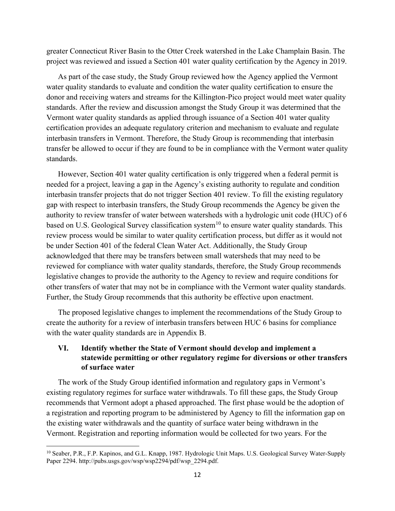greater Connecticut River Basin to the Otter Creek watershed in the Lake Champlain Basin. The project was reviewed and issued a Section 401 water quality certification by the Agency in 2019.

As part of the case study, the Study Group reviewed how the Agency applied the Vermont water quality standards to evaluate and condition the water quality certification to ensure the donor and receiving waters and streams for the Killington-Pico project would meet water quality standards. After the review and discussion amongst the Study Group it was determined that the Vermont water quality standards as applied through issuance of a Section 401 water quality certification provides an adequate regulatory criterion and mechanism to evaluate and regulate interbasin transfers in Vermont. Therefore, the Study Group is recommending that interbasin transfer be allowed to occur if they are found to be in compliance with the Vermont water quality standards.

However, Section 401 water quality certification is only triggered when a federal permit is needed for a project, leaving a gap in the Agency's existing authority to regulate and condition interbasin transfer projects that do not trigger Section 401 review. To fill the existing regulatory gap with respect to interbasin transfers, the Study Group recommends the Agency be given the authority to review transfer of water between watersheds with a hydrologic unit code (HUC) of 6 based on U.S. Geological Survey classification system<sup>[10](#page-11-0)</sup> to ensure water quality standards. This review process would be similar to water quality certification process, but differ as it would not be under Section 401 of the federal Clean Water Act. Additionally, the Study Group acknowledged that there may be transfers between small watersheds that may need to be reviewed for compliance with water quality standards, therefore, the Study Group recommends legislative changes to provide the authority to the Agency to review and require conditions for other transfers of water that may not be in compliance with the Vermont water quality standards. Further, the Study Group recommends that this authority be effective upon enactment.

The proposed legislative changes to implement the recommendations of the Study Group to create the authority for a review of interbasin transfers between HUC 6 basins for compliance with the water quality standards are in Appendix B.

### **VI. Identify whether the State of Vermont should develop and implement a statewide permitting or other regulatory regime for diversions or other transfers of surface water**

The work of the Study Group identified information and regulatory gaps in Vermont's existing regulatory regimes for surface water withdrawals. To fill these gaps, the Study Group recommends that Vermont adopt a phased approached. The first phase would be the adoption of a registration and reporting program to be administered by Agency to fill the information gap on the existing water withdrawals and the quantity of surface water being withdrawn in the Vermont. Registration and reporting information would be collected for two years. For the

<span id="page-11-0"></span><sup>&</sup>lt;sup>10</sup> Seaber, P.R., F.P. Kapinos, and G.L. Knapp, 1987. Hydrologic Unit Maps. U.S. Geological Survey Water-Supply Paper 2294. http://pubs.usgs.gov/wsp/wsp2294/pdf/wsp\_2294.pdf.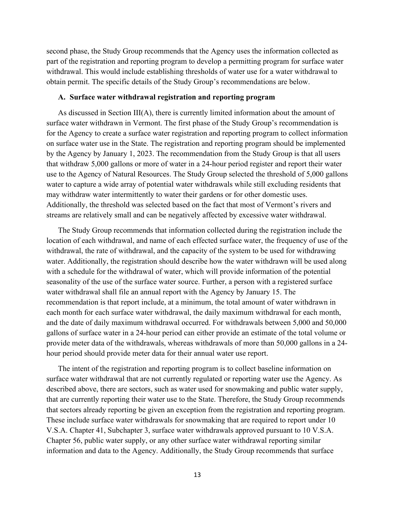second phase, the Study Group recommends that the Agency uses the information collected as part of the registration and reporting program to develop a permitting program for surface water withdrawal. This would include establishing thresholds of water use for a water withdrawal to obtain permit. The specific details of the Study Group's recommendations are below.

#### **A. Surface water withdrawal registration and reporting program**

As discussed in Section III(A), there is currently limited information about the amount of surface water withdrawn in Vermont. The first phase of the Study Group's recommendation is for the Agency to create a surface water registration and reporting program to collect information on surface water use in the State. The registration and reporting program should be implemented by the Agency by January 1, 2023. The recommendation from the Study Group is that all users that withdraw 5,000 gallons or more of water in a 24-hour period register and report their water use to the Agency of Natural Resources. The Study Group selected the threshold of 5,000 gallons water to capture a wide array of potential water withdrawals while still excluding residents that may withdraw water intermittently to water their gardens or for other domestic uses. Additionally, the threshold was selected based on the fact that most of Vermont's rivers and streams are relatively small and can be negatively affected by excessive water withdrawal.

The Study Group recommends that information collected during the registration include the location of each withdrawal, and name of each effected surface water, the frequency of use of the withdrawal, the rate of withdrawal, and the capacity of the system to be used for withdrawing water. Additionally, the registration should describe how the water withdrawn will be used along with a schedule for the withdrawal of water, which will provide information of the potential seasonality of the use of the surface water source. Further, a person with a registered surface water withdrawal shall file an annual report with the Agency by January 15. The recommendation is that report include, at a minimum, the total amount of water withdrawn in each month for each surface water withdrawal, the daily maximum withdrawal for each month, and the date of daily maximum withdrawal occurred. For withdrawals between 5,000 and 50,000 gallons of surface water in a 24-hour period can either provide an estimate of the total volume or provide meter data of the withdrawals, whereas withdrawals of more than 50,000 gallons in a 24 hour period should provide meter data for their annual water use report.

The intent of the registration and reporting program is to collect baseline information on surface water withdrawal that are not currently regulated or reporting water use the Agency. As described above, there are sectors, such as water used for snowmaking and public water supply, that are currently reporting their water use to the State. Therefore, the Study Group recommends that sectors already reporting be given an exception from the registration and reporting program. These include surface water withdrawals for snowmaking that are required to report under 10 V.S.A. Chapter 41, Subchapter 3, surface water withdrawals approved pursuant to 10 V.S.A. Chapter 56, public water supply, or any other surface water withdrawal reporting similar information and data to the Agency. Additionally, the Study Group recommends that surface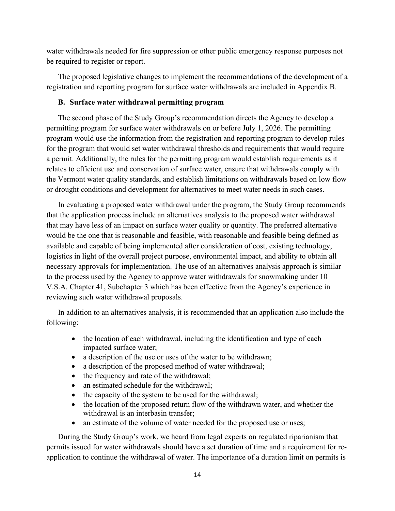water withdrawals needed for fire suppression or other public emergency response purposes not be required to register or report.

The proposed legislative changes to implement the recommendations of the development of a registration and reporting program for surface water withdrawals are included in Appendix B.

#### **B. Surface water withdrawal permitting program**

The second phase of the Study Group's recommendation directs the Agency to develop a permitting program for surface water withdrawals on or before July 1, 2026. The permitting program would use the information from the registration and reporting program to develop rules for the program that would set water withdrawal thresholds and requirements that would require a permit. Additionally, the rules for the permitting program would establish requirements as it relates to efficient use and conservation of surface water, ensure that withdrawals comply with the Vermont water quality standards, and establish limitations on withdrawals based on low flow or drought conditions and development for alternatives to meet water needs in such cases.

In evaluating a proposed water withdrawal under the program, the Study Group recommends that the application process include an alternatives analysis to the proposed water withdrawal that may have less of an impact on surface water quality or quantity. The preferred alternative would be the one that is reasonable and feasible, with reasonable and feasible being defined as available and capable of being implemented after consideration of cost, existing technology, logistics in light of the overall project purpose, environmental impact, and ability to obtain all necessary approvals for implementation. The use of an alternatives analysis approach is similar to the process used by the Agency to approve water withdrawals for snowmaking under 10 V.S.A. Chapter 41, Subchapter 3 which has been effective from the Agency's experience in reviewing such water withdrawal proposals.

In addition to an alternatives analysis, it is recommended that an application also include the following:

- the location of each withdrawal, including the identification and type of each impacted surface water;
- a description of the use or uses of the water to be withdrawn;
- a description of the proposed method of water withdrawal;
- the frequency and rate of the withdrawal;
- an estimated schedule for the withdrawal;
- the capacity of the system to be used for the withdrawal;
- the location of the proposed return flow of the withdrawn water, and whether the withdrawal is an interbasin transfer;
- an estimate of the volume of water needed for the proposed use or uses;

During the Study Group's work, we heard from legal experts on regulated riparianism that permits issued for water withdrawals should have a set duration of time and a requirement for reapplication to continue the withdrawal of water. The importance of a duration limit on permits is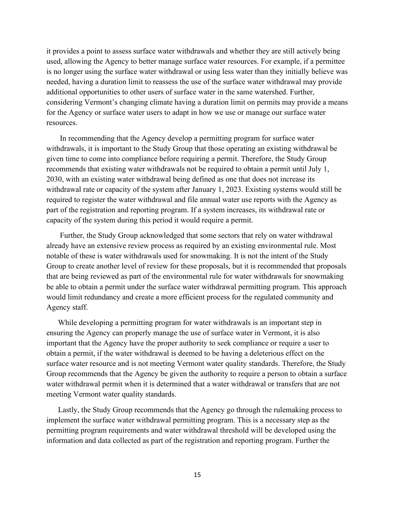it provides a point to assess surface water withdrawals and whether they are still actively being used, allowing the Agency to better manage surface water resources. For example, if a permittee is no longer using the surface water withdrawal or using less water than they initially believe was needed, having a duration limit to reassess the use of the surface water withdrawal may provide additional opportunities to other users of surface water in the same watershed. Further, considering Vermont's changing climate having a duration limit on permits may provide a means for the Agency or surface water users to adapt in how we use or manage our surface water resources.

In recommending that the Agency develop a permitting program for surface water withdrawals, it is important to the Study Group that those operating an existing withdrawal be given time to come into compliance before requiring a permit. Therefore, the Study Group recommends that existing water withdrawals not be required to obtain a permit until July 1, 2030, with an existing water withdrawal being defined as one that does not increase its withdrawal rate or capacity of the system after January 1, 2023. Existing systems would still be required to register the water withdrawal and file annual water use reports with the Agency as part of the registration and reporting program. If a system increases, its withdrawal rate or capacity of the system during this period it would require a permit.

Further, the Study Group acknowledged that some sectors that rely on water withdrawal already have an extensive review process as required by an existing environmental rule. Most notable of these is water withdrawals used for snowmaking. It is not the intent of the Study Group to create another level of review for these proposals, but it is recommended that proposals that are being reviewed as part of the environmental rule for water withdrawals for snowmaking be able to obtain a permit under the surface water withdrawal permitting program. This approach would limit redundancy and create a more efficient process for the regulated community and Agency staff.

While developing a permitting program for water withdrawals is an important step in ensuring the Agency can properly manage the use of surface water in Vermont, it is also important that the Agency have the proper authority to seek compliance or require a user to obtain a permit, if the water withdrawal is deemed to be having a deleterious effect on the surface water resource and is not meeting Vermont water quality standards. Therefore, the Study Group recommends that the Agency be given the authority to require a person to obtain a surface water withdrawal permit when it is determined that a water withdrawal or transfers that are not meeting Vermont water quality standards.

Lastly, the Study Group recommends that the Agency go through the rulemaking process to implement the surface water withdrawal permitting program. This is a necessary step as the permitting program requirements and water withdrawal threshold will be developed using the information and data collected as part of the registration and reporting program. Further the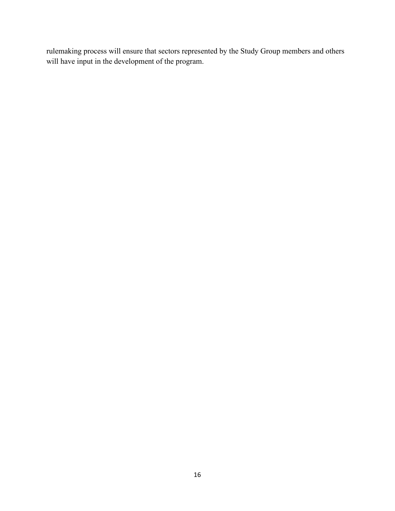rulemaking process will ensure that sectors represented by the Study Group members and others will have input in the development of the program.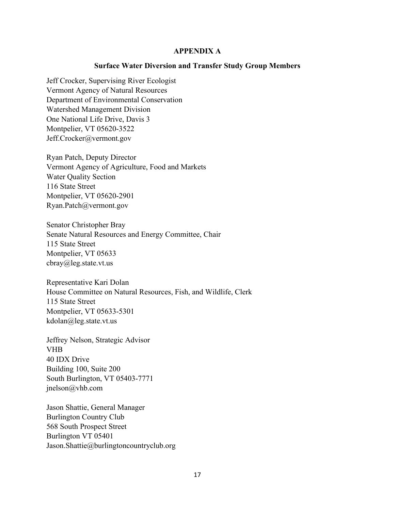#### **APPENDIX A**

#### **Surface Water Diversion and Transfer Study Group Members**

Jeff Crocker, Supervising River Ecologist Vermont Agency of Natural Resources Department of Environmental Conservation Watershed Management Division One National Life Drive, Davis 3 Montpelier, VT 05620-3522 Jeff.Crocker@vermont.gov

Ryan Patch, Deputy Director Vermont Agency of Agriculture, Food and Markets Water Quality Section 116 State Street Montpelier, VT 05620-2901 Ryan.Patch@vermont.gov

Senator Christopher Bray Senate Natural Resources and Energy Committee, Chair 115 State Street Montpelier, VT 05633 cbray@leg.state.vt.us

Representative Kari Dolan House Committee on Natural Resources, Fish, and Wildlife, Clerk 115 State Street Montpelier, VT 05633-5301 kdolan@leg.state.vt.us

Jeffrey Nelson, Strategic Advisor VHB 40 IDX Drive Building 100, Suite 200 South Burlington, VT 05403-7771 jnelson@vhb.com

Jason Shattie, General Manager Burlington Country Club 568 South Prospect Street Burlington VT 05401 Jason.Shattie@burlingtoncountryclub.org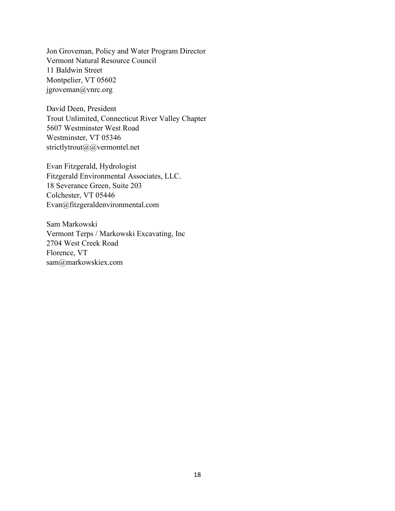Jon Groveman, Policy and Water Program Director Vermont Natural Resource Council 11 Baldwin Street Montpelier, VT 05602 jgroveman@vnrc.org

David Deen, President Trout Unlimited, Connecticut River Valley Chapter 5607 Westminster West Road Westminster, VT 05346 strictlytrout@@vermontel.net

Evan Fitzgerald, Hydrologist Fitzgerald Environmental Associates, LLC. 18 Severance Green, Suite 203 Colchester, VT 05446 Evan@fitzgeraldenvironmental.com

Sam Markowski Vermont Terps / Markowski Excavating, Inc 2704 West Creek Road Florence, VT sam@markowskiex.com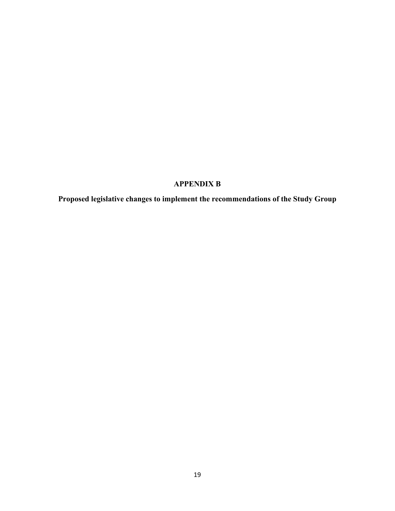## **APPENDIX B**

**Proposed legislative changes to implement the recommendations of the Study Group**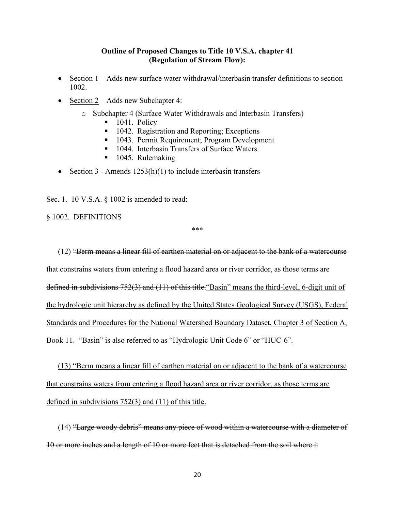### **Outline of Proposed Changes to Title 10 V.S.A. chapter 41 (Regulation of Stream Flow):**

- Section 1 Adds new surface water withdrawal/interbasin transfer definitions to section 1002.
- Section 2 Adds new Subchapter 4:
	- o Subchapter 4 (Surface Water Withdrawals and Interbasin Transfers)
		- 1041. Policy
		- 1042. Registration and Reporting; Exceptions
		- 1043. Permit Requirement; Program Development
		- 1044. Interbasin Transfers of Surface Waters
		- 1045. Rulemaking
- Section 3 Amends  $1253(h)(1)$  to include interbasin transfers

Sec. 1. 10 V.S.A. § 1002 is amended to read:

§ 1002. DEFINITIONS

\*\*\*

(12) "Berm means a linear fill of earthen material on or adjacent to the bank of a watercourse that constrains waters from entering a flood hazard area or river corridor, as those terms are defined in subdivisions 752(3) and (11) of this title."Basin" means the third-level, 6-digit unit of the hydrologic unit hierarchy as defined by the United States Geological Survey (USGS), Federal Standards and Procedures for the National Watershed Boundary Dataset, Chapter 3 of Section A, Book 11. "Basin" is also referred to as "Hydrologic Unit Code 6" or "HUC-6".

(13) "Berm means a linear fill of earthen material on or adjacent to the bank of a watercourse that constrains waters from entering a flood hazard area or river corridor, as those terms are defined in subdivisions 752(3) and (11) of this title.

(14) "Large woody debris" means any piece of wood within a watercourse with a diameter of 10 or more inches and a length of 10 or more feet that is detached from the soil where it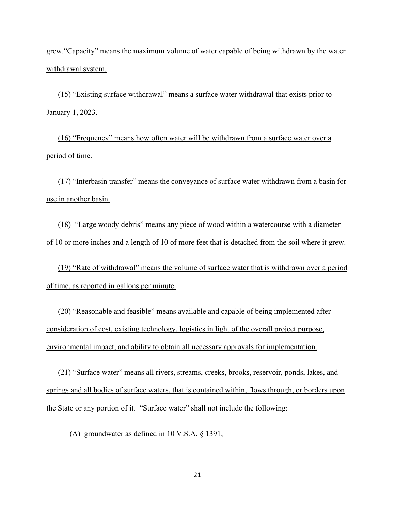grew."Capacity" means the maximum volume of water capable of being withdrawn by the water withdrawal system.

(15) "Existing surface withdrawal" means a surface water withdrawal that exists prior to January 1, 2023.

(16) "Frequency" means how often water will be withdrawn from a surface water over a period of time.

(17) "Interbasin transfer" means the conveyance of surface water withdrawn from a basin for use in another basin.

(18) "Large woody debris" means any piece of wood within a watercourse with a diameter of 10 or more inches and a length of 10 of more feet that is detached from the soil where it grew.

(19) "Rate of withdrawal" means the volume of surface water that is withdrawn over a period of time, as reported in gallons per minute.

(20) "Reasonable and feasible" means available and capable of being implemented after consideration of cost, existing technology, logistics in light of the overall project purpose, environmental impact, and ability to obtain all necessary approvals for implementation.

(21) "Surface water" means all rivers, streams, creeks, brooks, reservoir, ponds, lakes, and springs and all bodies of surface waters, that is contained within, flows through, or borders upon the State or any portion of it. "Surface water" shall not include the following:

(A) groundwater as defined in 10 V.S.A. § 1391;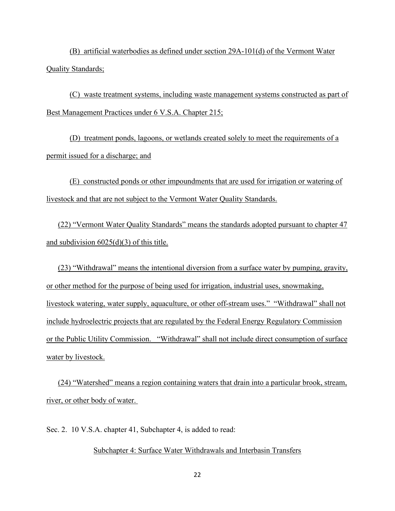(B) artificial waterbodies as defined under section 29A-101(d) of the Vermont Water Quality Standards;

(C) waste treatment systems, including waste management systems constructed as part of Best Management Practices under 6 V.S.A. Chapter 215;

(D) treatment ponds, lagoons, or wetlands created solely to meet the requirements of a permit issued for a discharge; and

(E) constructed ponds or other impoundments that are used for irrigation or watering of livestock and that are not subject to the Vermont Water Quality Standards.

(22) "Vermont Water Quality Standards" means the standards adopted pursuant to chapter 47 and subdivision 6025(d)(3) of this title.

(23) "Withdrawal" means the intentional diversion from a surface water by pumping, gravity, or other method for the purpose of being used for irrigation, industrial uses, snowmaking, livestock watering, water supply, aquaculture, or other off-stream uses." "Withdrawal" shall not include hydroelectric projects that are regulated by the Federal Energy Regulatory Commission or the Public Utility Commission. "Withdrawal" shall not include direct consumption of surface water by livestock.

(24) "Watershed" means a region containing waters that drain into a particular brook, stream, river, or other body of water.

Sec. 2. 10 V.S.A. chapter 41, Subchapter 4, is added to read:

### Subchapter 4: Surface Water Withdrawals and Interbasin Transfers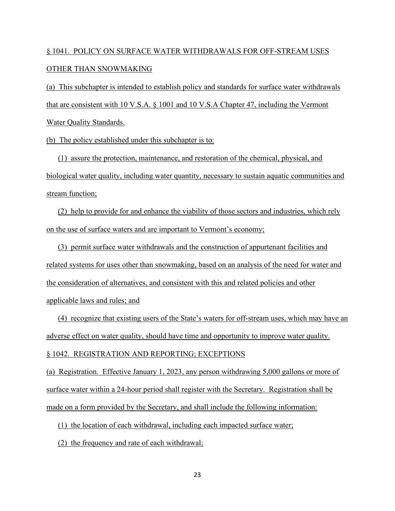# § 1041. POLICY ON SURFACE WATER WITHDRAWALS FOR OFF-STREAM USES OTHER THAN SNOWMAKING

(a) This subchapter is intended to establish policy and standards for surface water withdrawals that are consistent with 10 V.S.A. § 1001 and 10 V.S.A Chapter 47, including the Vermont Water Quality Standards.

(b) The policy established under this subchapter is to:

(1) assure the protection, maintenance, and restoration of the chemical, physical, and biological water quality, including water quantity, necessary to sustain aquatic communities and stream function;

(2) help to provide for and enhance the viability of those sectors and industries, which rely on the use of surface waters and are important to Vermont's economy;

(3) permit surface water withdrawals and the construction of appurtenant facilities and related systems for uses other than snowmaking, based on an analysis of the need for water and the consideration of alternatives, and consistent with this and related policies and other applicable laws and rules; and

(4) recognize that existing users of the State's waters for off-stream uses, which may have an adverse effect on water quality, should have time and opportunity to improve water quality.

§ 1042. REGISTRATION AND REPORTING; EXCEPTIONS

(a) Registration. Effective January 1, 2023, any person withdrawing 5,000 gallons or more of surface water within a 24-hour period shall register with the Secretary. Registration shall be made on a form provided by the Secretary, and shall include the following information:

(1) the location of each withdrawal, including each impacted surface water;

(2) the frequency and rate of each withdrawal;

23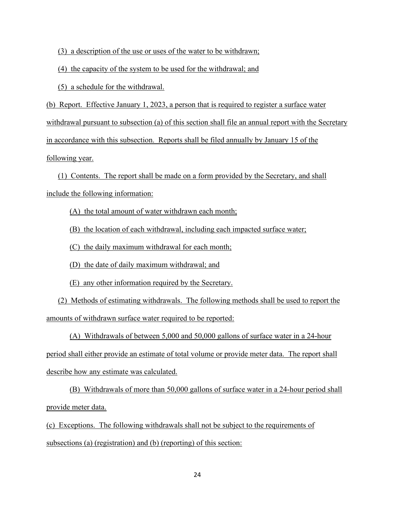(3) a description of the use or uses of the water to be withdrawn;

(4) the capacity of the system to be used for the withdrawal; and

(5) a schedule for the withdrawal.

(b) Report. Effective January 1, 2023, a person that is required to register a surface water withdrawal pursuant to subsection (a) of this section shall file an annual report with the Secretary in accordance with this subsection. Reports shall be filed annually by January 15 of the following year.

(1) Contents. The report shall be made on a form provided by the Secretary, and shall include the following information:

(A) the total amount of water withdrawn each month;

(B) the location of each withdrawal, including each impacted surface water;

(C) the daily maximum withdrawal for each month;

(D) the date of daily maximum withdrawal; and

(E) any other information required by the Secretary.

(2) Methods of estimating withdrawals. The following methods shall be used to report the amounts of withdrawn surface water required to be reported:

(A) Withdrawals of between 5,000 and 50,000 gallons of surface water in a 24-hour period shall either provide an estimate of total volume or provide meter data. The report shall describe how any estimate was calculated.

(B) Withdrawals of more than 50,000 gallons of surface water in a 24-hour period shall provide meter data.

(c) Exceptions. The following withdrawals shall not be subject to the requirements of subsections (a) (registration) and (b) (reporting) of this section: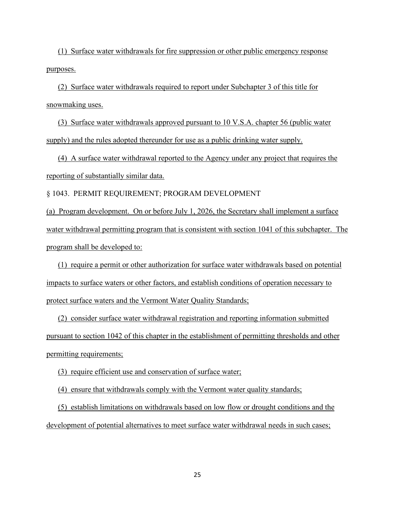(1) Surface water withdrawals for fire suppression or other public emergency response purposes.

(2) Surface water withdrawals required to report under Subchapter 3 of this title for snowmaking uses.

(3) Surface water withdrawals approved pursuant to 10 V.S.A. chapter 56 (public water supply) and the rules adopted thereunder for use as a public drinking water supply.

(4) A surface water withdrawal reported to the Agency under any project that requires the reporting of substantially similar data.

§ 1043. PERMIT REQUIREMENT; PROGRAM DEVELOPMENT

(a) Program development. On or before July 1, 2026, the Secretary shall implement a surface water withdrawal permitting program that is consistent with section 1041 of this subchapter. The program shall be developed to:

(1) require a permit or other authorization for surface water withdrawals based on potential impacts to surface waters or other factors, and establish conditions of operation necessary to protect surface waters and the Vermont Water Quality Standards;

(2) consider surface water withdrawal registration and reporting information submitted pursuant to section 1042 of this chapter in the establishment of permitting thresholds and other permitting requirements;

(3) require efficient use and conservation of surface water;

(4) ensure that withdrawals comply with the Vermont water quality standards;

(5) establish limitations on withdrawals based on low flow or drought conditions and the development of potential alternatives to meet surface water withdrawal needs in such cases;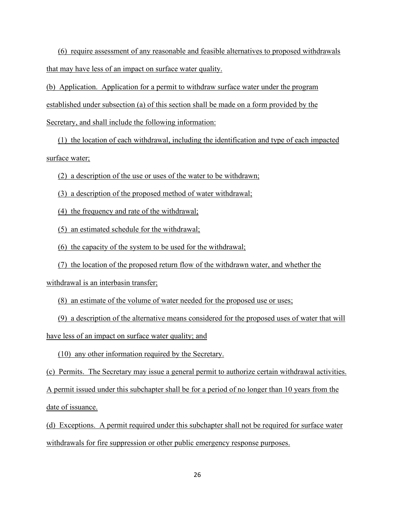(6) require assessment of any reasonable and feasible alternatives to proposed withdrawals that may have less of an impact on surface water quality.

(b) Application. Application for a permit to withdraw surface water under the program established under subsection (a) of this section shall be made on a form provided by the Secretary, and shall include the following information:

(1) the location of each withdrawal, including the identification and type of each impacted surface water;

(2) a description of the use or uses of the water to be withdrawn;

(3) a description of the proposed method of water withdrawal;

(4) the frequency and rate of the withdrawal;

(5) an estimated schedule for the withdrawal;

(6) the capacity of the system to be used for the withdrawal;

(7) the location of the proposed return flow of the withdrawn water, and whether the

withdrawal is an interbasin transfer;

(8) an estimate of the volume of water needed for the proposed use or uses;

(9) a description of the alternative means considered for the proposed uses of water that will have less of an impact on surface water quality; and

(10) any other information required by the Secretary.

(c) Permits. The Secretary may issue a general permit to authorize certain withdrawal activities. A permit issued under this subchapter shall be for a period of no longer than 10 years from the date of issuance.

(d) Exceptions. A permit required under this subchapter shall not be required for surface water withdrawals for fire suppression or other public emergency response purposes.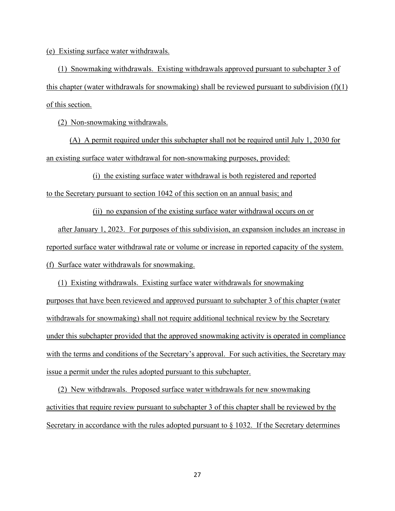(e) Existing surface water withdrawals.

(1) Snowmaking withdrawals. Existing withdrawals approved pursuant to subchapter 3 of this chapter (water withdrawals for snowmaking) shall be reviewed pursuant to subdivision  $(f)(1)$ of this section.

(2) Non-snowmaking withdrawals.

(A) A permit required under this subchapter shall not be required until July 1, 2030 for an existing surface water withdrawal for non-snowmaking purposes, provided:

(i) the existing surface water withdrawal is both registered and reported to the Secretary pursuant to section 1042 of this section on an annual basis; and

(ii) no expansion of the existing surface water withdrawal occurs on or after January 1, 2023. For purposes of this subdivision, an expansion includes an increase in reported surface water withdrawal rate or volume or increase in reported capacity of the system. (f) Surface water withdrawals for snowmaking.

(1) Existing withdrawals. Existing surface water withdrawals for snowmaking purposes that have been reviewed and approved pursuant to subchapter 3 of this chapter (water withdrawals for snowmaking) shall not require additional technical review by the Secretary under this subchapter provided that the approved snowmaking activity is operated in compliance with the terms and conditions of the Secretary's approval. For such activities, the Secretary may issue a permit under the rules adopted pursuant to this subchapter.

(2) New withdrawals. Proposed surface water withdrawals for new snowmaking activities that require review pursuant to subchapter 3 of this chapter shall be reviewed by the Secretary in accordance with the rules adopted pursuant to  $\S$  1032. If the Secretary determines

27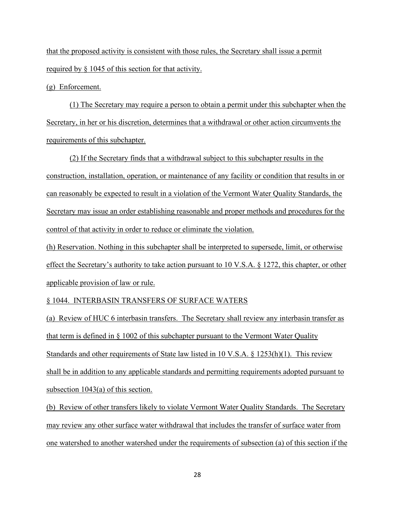that the proposed activity is consistent with those rules, the Secretary shall issue a permit required by § 1045 of this section for that activity.

(g) Enforcement.

(1) The Secretary may require a person to obtain a permit under this subchapter when the Secretary, in her or his discretion, determines that a withdrawal or other action circumvents the requirements of this subchapter.

(2) If the Secretary finds that a withdrawal subject to this subchapter results in the construction, installation, operation, or maintenance of any facility or condition that results in or can reasonably be expected to result in a violation of the Vermont Water Quality Standards, the Secretary may issue an order establishing reasonable and proper methods and procedures for the control of that activity in order to reduce or eliminate the violation.

(h) Reservation. Nothing in this subchapter shall be interpreted to supersede, limit, or otherwise effect the Secretary's authority to take action pursuant to 10 V.S.A. § 1272, this chapter, or other applicable provision of law or rule.

### § 1044. INTERBASIN TRANSFERS OF SURFACE WATERS

(a) Review of HUC 6 interbasin transfers. The Secretary shall review any interbasin transfer as that term is defined in  $\S$  1002 of this subchapter pursuant to the Vermont Water Quality Standards and other requirements of State law listed in 10 V.S.A. § 1253(h)(1). This review shall be in addition to any applicable standards and permitting requirements adopted pursuant to subsection 1043(a) of this section.

(b) Review of other transfers likely to violate Vermont Water Quality Standards. The Secretary may review any other surface water withdrawal that includes the transfer of surface water from one watershed to another watershed under the requirements of subsection (a) of this section if the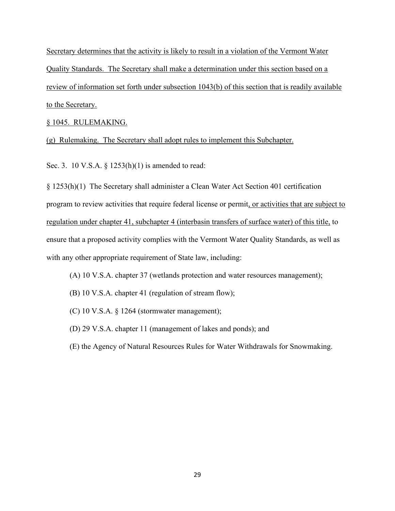Secretary determines that the activity is likely to result in a violation of the Vermont Water Quality Standards. The Secretary shall make a determination under this section based on a review of information set forth under subsection 1043(b) of this section that is readily available to the Secretary.

### § 1045. RULEMAKING.

(g) Rulemaking. The Secretary shall adopt rules to implement this Subchapter.

Sec. 3. 10 V.S.A. § 1253(h)(1) is amended to read:

§ 1253(h)(1) The Secretary shall administer a Clean Water Act Section 401 certification program to review activities that require federal license or permit, or activities that are subject to regulation under chapter 41, subchapter 4 (interbasin transfers of surface water) of this title, to ensure that a proposed activity complies with the Vermont Water Quality Standards, as well as with any other appropriate requirement of State law, including:

- (A) 10 V.S.A. chapter 37 (wetlands protection and water resources management);
- (B) 10 V.S.A. chapter 41 (regulation of stream flow);
- (C) 10 V.S.A. § 1264 (stormwater management);
- (D) 29 V.S.A. chapter 11 (management of lakes and ponds); and
- (E) the Agency of Natural Resources Rules for Water Withdrawals for Snowmaking.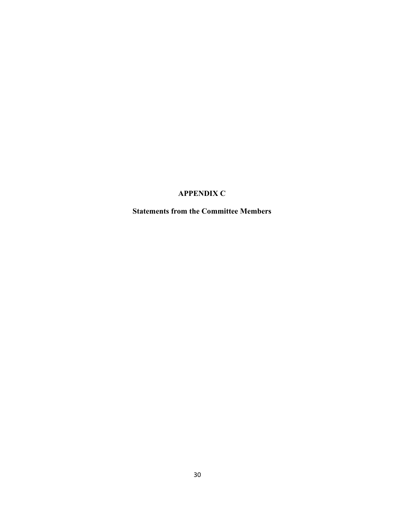## **APPENDIX C**

**Statements from the Committee Members**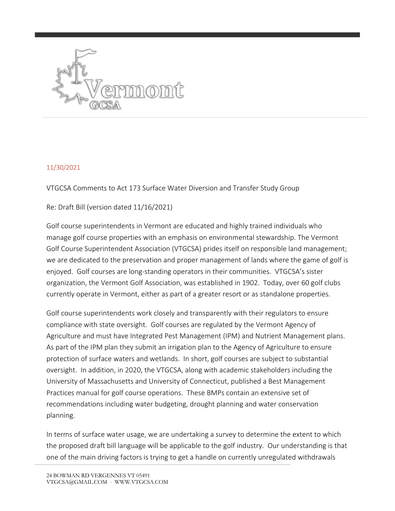

### 11/30/2021

VTGCSA Comments to Act 173 Surface Water Diversion and Transfer Study Group

Re: Draft Bill (version dated 11/16/2021)

Golf course superintendents in Vermont are educated and highly trained individuals who manage golf course properties with an emphasis on environmental stewardship. The Vermont Golf Course Superintendent Association (VTGCSA) prides itself on responsible land management; we are dedicated to the preservation and proper management of lands where the game of golf is enjoyed. Golf courses are long-standing operators in their communities. VTGCSA's sister organization, the Vermont Golf Association, was established in 1902. Today, over 60 golf clubs currently operate in Vermont, either as part of a greater resort or as standalone properties.

Golf course superintendents work closely and transparently with their regulators to ensure compliance with state oversight. Golf courses are regulated by the Vermont Agency of Agriculture and must have Integrated Pest Management (IPM) and Nutrient Management plans. As part of the IPM plan they submit an irrigation plan to the Agency of Agriculture to ensure protection of surface waters and wetlands. In short, golf courses are subject to substantial oversight. In addition, in 2020, the VTGCSA, along with academic stakeholders including the University of Massachusetts and University of Connecticut, published a Best Management Practices manual for golf course operations. These BMPs contain an extensive set of recommendations including water budgeting, drought planning and water conservation planning.

In terms of surface water usage, we are undertaking a survey to determine the extent to which the proposed draft bill language will be applicable to the golf industry. Our understanding is that one of the main driving factors is trying to get a handle on currently unregulated withdrawals